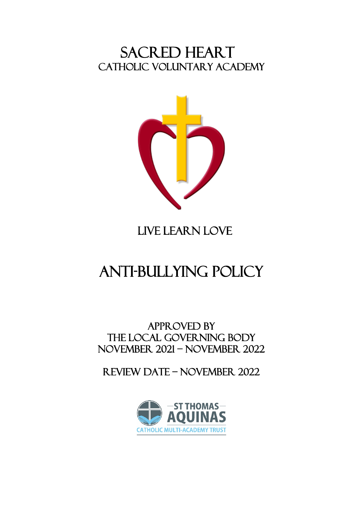SACRED HEART<br>CATHOLIC VOLUNTARY ACADEMY



# LIVE LEARN LOVE

# Anti-bullying policy

APPROVED BY THE local GOVERNING BODY November 2021 – November 2022

Review date – November 2022

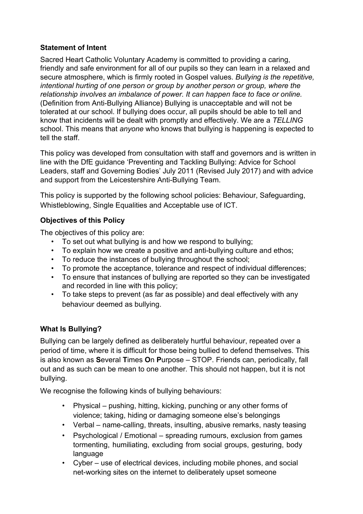# **Statement of Intent**

Sacred Heart Catholic Voluntary Academy is committed to providing a caring, friendly and safe environment for all of our pupils so they can learn in a relaxed and secure atmosphere, which is firmly rooted in Gospel values. *Bullying is the repetitive, intentional hurting of one person or group by another person or group, where the relationship involves an imbalance of power. It can happen face to face or online.* (Definition from Anti-Bullying Alliance) Bullying is unacceptable and will not be tolerated at our school. If bullying does occur, all pupils should be able to tell and know that incidents will be dealt with promptly and effectively. We are a *TELLING* school. This means that *anyone* who knows that bullying is happening is expected to tell the staff.

This policy was developed from consultation with staff and governors and is written in line with the DfE guidance 'Preventing and Tackling Bullying: Advice for School Leaders, staff and Governing Bodies' July 2011 (Revised July 2017) and with advice and support from the Leicestershire Anti-Bullying Team.

This policy is supported by the following school policies: Behaviour, Safeguarding, Whistleblowing, Single Equalities and Acceptable use of ICT.

# **Objectives of this Policy**

The objectives of this policy are:

- To set out what bullying is and how we respond to bullying;
- To explain how we create a positive and anti-bullying culture and ethos;
- To reduce the instances of bullying throughout the school;
- To promote the acceptance, tolerance and respect of individual differences;
- To ensure that instances of bullying are reported so they can be investigated and recorded in line with this policy;
- To take steps to prevent (as far as possible) and deal effectively with any behaviour deemed as bullying.

# **What Is Bullying?**

Bullying can be largely defined as deliberately hurtful behaviour, repeated over a period of time, where it is difficult for those being bullied to defend themselves. This is also known as **S**everal **T**imes **O**n **P**urpose – STOP. Friends can, periodically, fall out and as such can be mean to one another. This should not happen, but it is not bullying.

We recognise the following kinds of bullying behaviours:

- Physical pushing, hitting, kicking, punching or any other forms of violence; taking, hiding or damaging someone else's belongings
- Verbal name-calling, threats, insulting, abusive remarks, nasty teasing
- Psychological / Emotional spreading rumours, exclusion from games tormenting, humiliating, excluding from social groups, gesturing, body language
- Cyber use of electrical devices, including mobile phones, and social net-working sites on the internet to deliberately upset someone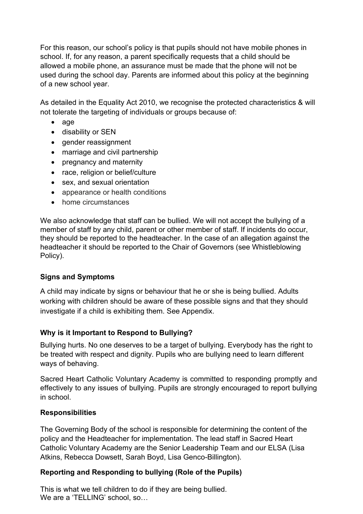For this reason, our school's policy is that pupils should not have mobile phones in school. If, for any reason, a parent specifically requests that a child should be allowed a mobile phone, an assurance must be made that the phone will not be used during the school day. Parents are informed about this policy at the beginning of a new school year.

As detailed in the Equality Act 2010, we recognise the protected characteristics & will not tolerate the targeting of individuals or groups because of:

- age
- disability or SEN
- gender reassignment
- marriage and civil partnership
- pregnancy and maternity
- race, religion or belief/culture
- sex, and sexual orientation
- appearance or health conditions
- home circumstances

We also acknowledge that staff can be bullied. We will not accept the bullying of a member of staff by any child, parent or other member of staff. If incidents do occur, they should be reported to the headteacher. In the case of an allegation against the headteacher it should be reported to the Chair of Governors (see Whistleblowing Policy).

# **Signs and Symptoms**

A child may indicate by signs or behaviour that he or she is being bullied. Adults working with children should be aware of these possible signs and that they should investigate if a child is exhibiting them. See Appendix.

#### **Why is it Important to Respond to Bullying?**

Bullying hurts. No one deserves to be a target of bullying. Everybody has the right to be treated with respect and dignity. Pupils who are bullying need to learn different ways of behaving.

Sacred Heart Catholic Voluntary Academy is committed to responding promptly and effectively to any issues of bullying. Pupils are strongly encouraged to report bullying in school.

#### **Responsibilities**

The Governing Body of the school is responsible for determining the content of the policy and the Headteacher for implementation. The lead staff in Sacred Heart Catholic Voluntary Academy are the Senior Leadership Team and our ELSA (Lisa Atkins, Rebecca Dowsett, Sarah Boyd, Lisa Genco-Billington).

#### **Reporting and Responding to bullying (Role of the Pupils)**

This is what we tell children to do if they are being bullied. We are a 'TELLING' school, so...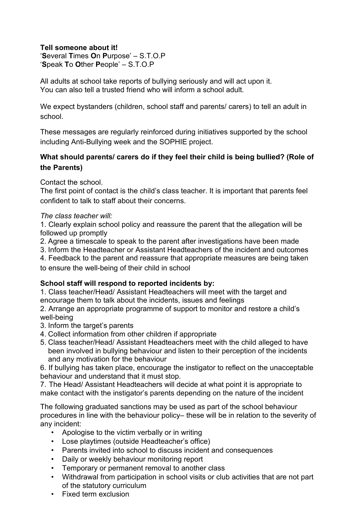# **Tell someone about it!**

'**S**everal **T**imes **O**n **P**urpose' – S.T.O.P '**S**peak **T**o **O**ther **P**eople' – S.T.O.P

All adults at school take reports of bullying seriously and will act upon it. You can also tell a trusted friend who will inform a school adult.

We expect bystanders (children, school staff and parents/ carers) to tell an adult in school.

These messages are regularly reinforced during initiatives supported by the school including Anti-Bullying week and the SOPHIE project.

# **What should parents/ carers do if they feel their child is being bullied? (Role of the Parents)**

Contact the school.

The first point of contact is the child's class teacher. It is important that parents feel confident to talk to staff about their concerns.

#### *The class teacher will:*

1. Clearly explain school policy and reassure the parent that the allegation will be followed up promptly

- 2. Agree a timescale to speak to the parent after investigations have been made
- 3. Inform the Headteacher or Assistant Headteachers of the incident and outcomes
- 4. Feedback to the parent and reassure that appropriate measures are being taken to ensure the well-being of their child in school

#### **School staff will respond to reported incidents by:**

1. Class teacher/Head/ Assistant Headteachers will meet with the target and encourage them to talk about the incidents, issues and feelings

2. Arrange an appropriate programme of support to monitor and restore a child's well-being

- 3. Inform the target's parents
- 4. Collect information from other children if appropriate
- 5. Class teacher/Head/ Assistant Headteachers meet with the child alleged to have been involved in bullying behaviour and listen to their perception of the incidents and any motivation for the behaviour

6. If bullying has taken place, encourage the instigator to reflect on the unacceptable behaviour and understand that it must stop.

7. The Head/ Assistant Headteachers will decide at what point it is appropriate to make contact with the instigator's parents depending on the nature of the incident

The following graduated sanctions may be used as part of the school behaviour procedures in line with the behaviour policy– these will be in relation to the severity of any incident:

- Apologise to the victim verbally or in writing
- Lose playtimes (outside Headteacher's office)
- Parents invited into school to discuss incident and consequences
- Daily or weekly behaviour monitoring report
- Temporary or permanent removal to another class
- Withdrawal from participation in school visits or club activities that are not part of the statutory curriculum
- Fixed term exclusion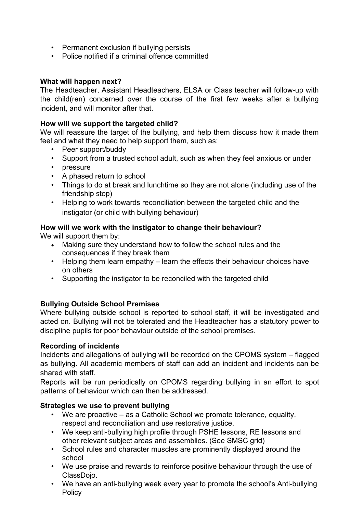- Permanent exclusion if bullying persists
- Police notified if a criminal offence committed

#### **What will happen next?**

The Headteacher, Assistant Headteachers, ELSA or Class teacher will follow-up with the child(ren) concerned over the course of the first few weeks after a bullying incident, and will monitor after that.

#### **How will we support the targeted child?**

We will reassure the target of the bullying, and help them discuss how it made them feel and what they need to help support them, such as:

- Peer support/buddy
- Support from a trusted school adult, such as when they feel anxious or under
- pressure
- A phased return to school
- Things to do at break and lunchtime so they are not alone (including use of the friendship stop)
- Helping to work towards reconciliation between the targeted child and the instigator (or child with bullying behaviour)

# **How will we work with the instigator to change their behaviour?**

We will support them by:

- Making sure they understand how to follow the school rules and the consequences if they break them
- Helping them learn empathy learn the effects their behaviour choices have on others
- Supporting the instigator to be reconciled with the targeted child

#### **Bullying Outside School Premises**

Where bullying outside school is reported to school staff, it will be investigated and acted on. Bullying will not be tolerated and the Headteacher has a statutory power to discipline pupils for poor behaviour outside of the school premises.

#### **Recording of incidents**

Incidents and allegations of bullying will be recorded on the CPOMS system – flagged as bullying. All academic members of staff can add an incident and incidents can be shared with staff.

Reports will be run periodically on CPOMS regarding bullying in an effort to spot patterns of behaviour which can then be addressed.

#### **Strategies we use to prevent bullying**

- We are proactive as a Catholic School we promote tolerance, equality, respect and reconciliation and use restorative justice.
- We keep anti-bullying high profile through PSHE lessons, RE lessons and other relevant subject areas and assemblies. (See SMSC grid)
- School rules and character muscles are prominently displayed around the school
- We use praise and rewards to reinforce positive behaviour through the use of ClassDojo.
- We have an anti-bullying week every year to promote the school's Anti-bullying **Policy**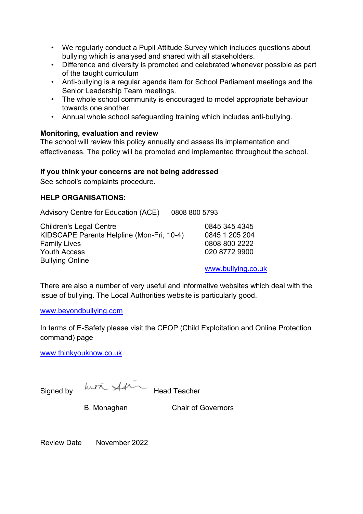- We regularly conduct a Pupil Attitude Survey which includes questions about bullying which is analysed and shared with all stakeholders.
- Difference and diversity is promoted and celebrated whenever possible as part of the taught curriculum
- Anti-bullying is a regular agenda item for School Parliament meetings and the Senior Leadership Team meetings.
- The whole school community is encouraged to model appropriate behaviour towards one another.
- Annual whole school safeguarding training which includes anti-bullying.

#### **Monitoring, evaluation and review**

The school will review this policy annually and assess its implementation and effectiveness. The policy will be promoted and implemented throughout the school.

#### **If you think your concerns are not being addressed**

See school's complaints procedure.

# **HELP ORGANISATIONS:**

Advisory Centre for Education (ACE) 0808 800 5793

Children's Legal Centre 0845 345 4345 KIDSCAPE Parents Helpline (Mon-Fri, 10-4) 0845 1 205 204 **Family Lives 6800 2222 6800 2222** Youth Access 020 8772 9900 Bullying Online

[www.bullying.co.uk](http://www.bullying.co.uk/)

There are also a number of very useful and informative websites which deal with the issue of bullying. The Local Authorities website is particularly good.

[www.beyondbullying.com](http://www.beyondbullying.com/)

In terms of E-Safety please visit the CEOP (Child Exploitation and Online Protection command) page

[www.thinkyouknow.co.uk](http://www.thinkyouknow.co.uk/)

Signed by  $ln Pr \sim 44$  Head Teacher

B. Monaghan Chair of Governors

Review Date November 2022